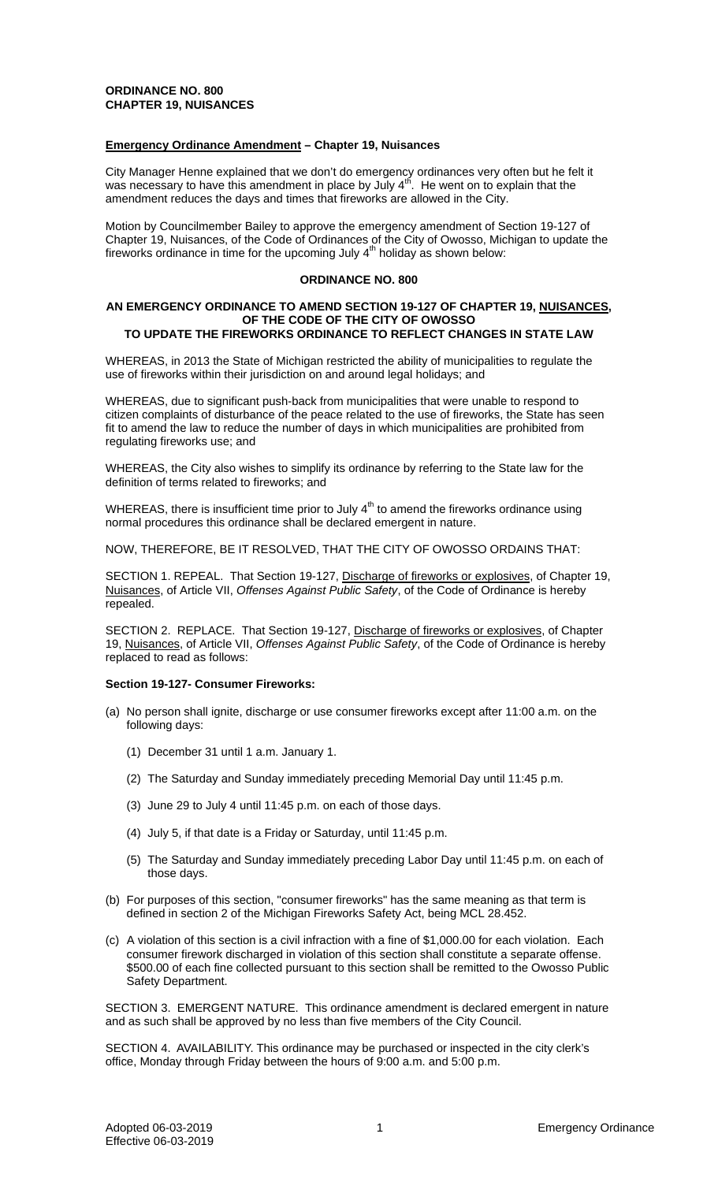# **ORDINANCE NO. 800 CHAPTER 19, NUISANCES**

## **Emergency Ordinance Amendment – Chapter 19, Nuisances**

City Manager Henne explained that we don't do emergency ordinances very often but he felt it was necessary to have this amendment in place by July  $4<sup>th</sup>$ . He went on to explain that the amendment reduces the days and times that fireworks are allowed in the City.

Motion by Councilmember Bailey to approve the emergency amendment of Section 19-127 of Chapter 19, Nuisances, of the Code of Ordinances of the City of Owosso, Michigan to update the fireworks ordinance in time for the upcoming July  $4<sup>th</sup>$  holiday as shown below:

## **ORDINANCE NO. 800**

#### **AN EMERGENCY ORDINANCE TO AMEND SECTION 19-127 OF CHAPTER 19, NUISANCES, OF THE CODE OF THE CITY OF OWOSSO TO UPDATE THE FIREWORKS ORDINANCE TO REFLECT CHANGES IN STATE LAW**

WHEREAS, in 2013 the State of Michigan restricted the ability of municipalities to regulate the use of fireworks within their jurisdiction on and around legal holidays; and

WHEREAS, due to significant push-back from municipalities that were unable to respond to citizen complaints of disturbance of the peace related to the use of fireworks, the State has seen fit to amend the law to reduce the number of days in which municipalities are prohibited from regulating fireworks use; and

WHEREAS, the City also wishes to simplify its ordinance by referring to the State law for the definition of terms related to fireworks; and

WHEREAS, there is insufficient time prior to July  $4<sup>th</sup>$  to amend the fireworks ordinance using normal procedures this ordinance shall be declared emergent in nature.

NOW, THEREFORE, BE IT RESOLVED, THAT THE CITY OF OWOSSO ORDAINS THAT:

SECTION 1. REPEAL. That Section 19-127, Discharge of fireworks or explosives, of Chapter 19, Nuisances, of Article VII, *Offenses Against Public Safety*, of the Code of Ordinance is hereby repealed.

SECTION 2. REPLACE. That Section 19-127, Discharge of fireworks or explosives, of Chapter 19, Nuisances, of Article VII, *Offenses Against Public Safety*, of the Code of Ordinance is hereby replaced to read as follows:

# **Section 19-127- Consumer Fireworks:**

- (a) No person shall ignite, discharge or use consumer fireworks except after 11:00 a.m. on the following days:
	- (1) December 31 until 1 a.m. January 1.
	- (2) The Saturday and Sunday immediately preceding Memorial Day until 11:45 p.m.
	- (3) June 29 to July 4 until 11:45 p.m. on each of those days.
	- (4) July 5, if that date is a Friday or Saturday, until 11:45 p.m.
	- (5) The Saturday and Sunday immediately preceding Labor Day until 11:45 p.m. on each of those days.
- (b) For purposes of this section, "consumer fireworks" has the same meaning as that term is defined in section 2 of the Michigan Fireworks Safety Act, being MCL 28.452.
- (c) A violation of this section is a civil infraction with a fine of \$1,000.00 for each violation. Each consumer firework discharged in violation of this section shall constitute a separate offense. \$500.00 of each fine collected pursuant to this section shall be remitted to the Owosso Public Safety Department.

SECTION 3. EMERGENT NATURE. This ordinance amendment is declared emergent in nature and as such shall be approved by no less than five members of the City Council.

SECTION 4. AVAILABILITY. This ordinance may be purchased or inspected in the city clerk's office, Monday through Friday between the hours of 9:00 a.m. and 5:00 p.m.